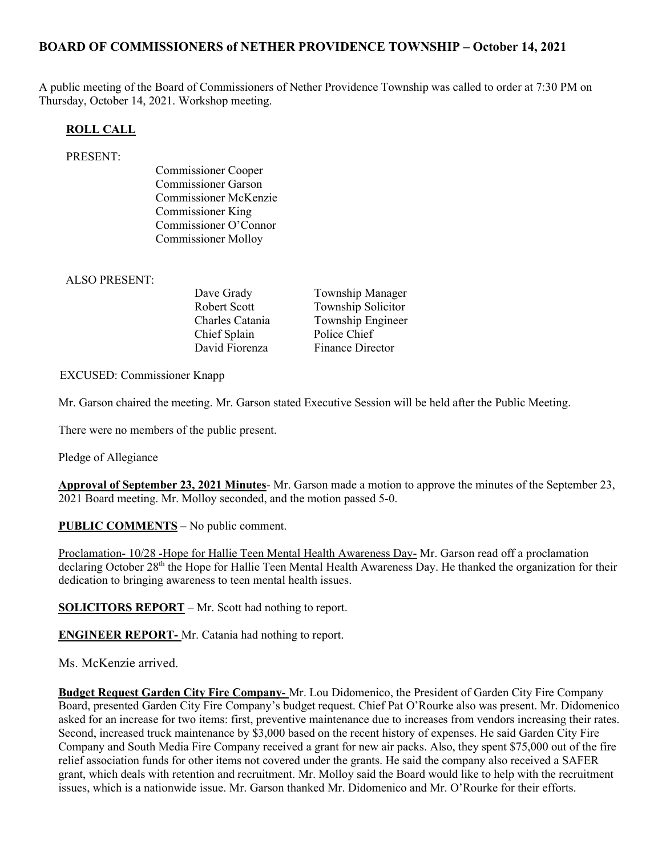## BOARD OF COMMISSIONERS of NETHER PROVIDENCE TOWNSHIP – October 14, 2021

A public meeting of the Board of Commissioners of Nether Providence Township was called to order at 7:30 PM on Thursday, October 14, 2021. Workshop meeting.

#### ROLL CALL

#### PRESENT:

Commissioner Cooper Commissioner Garson Commissioner McKenzie Commissioner King Commissioner O'Connor Commissioner Molloy

#### ALSO PRESENT:

Chief Splain Police Chief

Dave Grady **Township Manager** Robert Scott Township Solicitor Charles Catania Township Engineer David Fiorenza Finance Director

#### EXCUSED: Commissioner Knapp

Mr. Garson chaired the meeting. Mr. Garson stated Executive Session will be held after the Public Meeting.

There were no members of the public present.

Pledge of Allegiance

Approval of September 23, 2021 Minutes- Mr. Garson made a motion to approve the minutes of the September 23, 2021 Board meeting. Mr. Molloy seconded, and the motion passed 5-0.

PUBLIC COMMENTS – No public comment.

Proclamation- 10/28 -Hope for Hallie Teen Mental Health Awareness Day- Mr. Garson read off a proclamation declaring October 28<sup>th</sup> the Hope for Hallie Teen Mental Health Awareness Day. He thanked the organization for their dedication to bringing awareness to teen mental health issues.

SOLICITORS REPORT – Mr. Scott had nothing to report.

ENGINEER REPORT- Mr. Catania had nothing to report.

Ms. McKenzie arrived.

Budget Request Garden City Fire Company- Mr. Lou Didomenico, the President of Garden City Fire Company Board, presented Garden City Fire Company's budget request. Chief Pat O'Rourke also was present. Mr. Didomenico asked for an increase for two items: first, preventive maintenance due to increases from vendors increasing their rates. Second, increased truck maintenance by \$3,000 based on the recent history of expenses. He said Garden City Fire Company and South Media Fire Company received a grant for new air packs. Also, they spent \$75,000 out of the fire relief association funds for other items not covered under the grants. He said the company also received a SAFER grant, which deals with retention and recruitment. Mr. Molloy said the Board would like to help with the recruitment issues, which is a nationwide issue. Mr. Garson thanked Mr. Didomenico and Mr. O'Rourke for their efforts.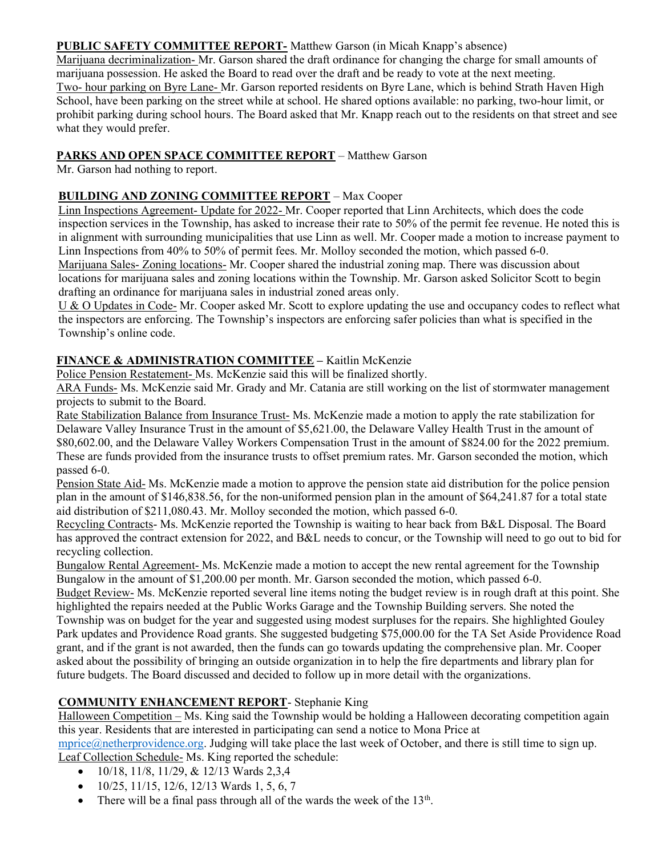#### PUBLIC SAFETY COMMITTEE REPORT- Matthew Garson (in Micah Knapp's absence)

Marijuana decriminalization- Mr. Garson shared the draft ordinance for changing the charge for small amounts of marijuana possession. He asked the Board to read over the draft and be ready to vote at the next meeting. Two- hour parking on Byre Lane- Mr. Garson reported residents on Byre Lane, which is behind Strath Haven High School, have been parking on the street while at school. He shared options available: no parking, two-hour limit, or prohibit parking during school hours. The Board asked that Mr. Knapp reach out to the residents on that street and see what they would prefer.

## PARKS AND OPEN SPACE COMMITTEE REPORT – Matthew Garson

Mr. Garson had nothing to report.

## BUILDING AND ZONING COMMITTEE REPORT – Max Cooper

Linn Inspections Agreement- Update for 2022- Mr. Cooper reported that Linn Architects, which does the code inspection services in the Township, has asked to increase their rate to 50% of the permit fee revenue. He noted this is in alignment with surrounding municipalities that use Linn as well. Mr. Cooper made a motion to increase payment to Linn Inspections from 40% to 50% of permit fees. Mr. Molloy seconded the motion, which passed 6-0. Marijuana Sales- Zoning locations- Mr. Cooper shared the industrial zoning map. There was discussion about locations for marijuana sales and zoning locations within the Township. Mr. Garson asked Solicitor Scott to begin drafting an ordinance for marijuana sales in industrial zoned areas only.

U & O Updates in Code- Mr. Cooper asked Mr. Scott to explore updating the use and occupancy codes to reflect what the inspectors are enforcing. The Township's inspectors are enforcing safer policies than what is specified in the Township's online code.

# FINANCE & ADMINISTRATION COMMITTEE - Kaitlin McKenzie

Police Pension Restatement- Ms. McKenzie said this will be finalized shortly.

ARA Funds- Ms. McKenzie said Mr. Grady and Mr. Catania are still working on the list of stormwater management projects to submit to the Board.

Rate Stabilization Balance from Insurance Trust- Ms. McKenzie made a motion to apply the rate stabilization for Delaware Valley Insurance Trust in the amount of \$5,621.00, the Delaware Valley Health Trust in the amount of \$80,602.00, and the Delaware Valley Workers Compensation Trust in the amount of \$824.00 for the 2022 premium. These are funds provided from the insurance trusts to offset premium rates. Mr. Garson seconded the motion, which passed 6-0.

Pension State Aid- Ms. McKenzie made a motion to approve the pension state aid distribution for the police pension plan in the amount of \$146,838.56, for the non-uniformed pension plan in the amount of \$64,241.87 for a total state aid distribution of \$211,080.43. Mr. Molloy seconded the motion, which passed 6-0.

Recycling Contracts- Ms. McKenzie reported the Township is waiting to hear back from B&L Disposal. The Board has approved the contract extension for 2022, and B&L needs to concur, or the Township will need to go out to bid for recycling collection.

Bungalow Rental Agreement- Ms. McKenzie made a motion to accept the new rental agreement for the Township Bungalow in the amount of \$1,200.00 per month. Mr. Garson seconded the motion, which passed 6-0.

Budget Review- Ms. McKenzie reported several line items noting the budget review is in rough draft at this point. She highlighted the repairs needed at the Public Works Garage and the Township Building servers. She noted the Township was on budget for the year and suggested using modest surpluses for the repairs. She highlighted Gouley Park updates and Providence Road grants. She suggested budgeting \$75,000.00 for the TA Set Aside Providence Road grant, and if the grant is not awarded, then the funds can go towards updating the comprehensive plan. Mr. Cooper asked about the possibility of bringing an outside organization in to help the fire departments and library plan for future budgets. The Board discussed and decided to follow up in more detail with the organizations.

# COMMUNITY ENHANCEMENT REPORT- Stephanie King

Halloween Competition – Ms. King said the Township would be holding a Halloween decorating competition again this year. Residents that are interested in participating can send a notice to Mona Price at

mprice@netherprovidence.org. Judging will take place the last week of October, and there is still time to sign up. Leaf Collection Schedule- Ms. King reported the schedule:

- 10/18, 11/8, 11/29, & 12/13 Wards 2,3,4
- $\bullet$  10/25, 11/15, 12/6, 12/13 Wards 1, 5, 6, 7
- There will be a final pass through all of the wards the week of the  $13<sup>th</sup>$ .